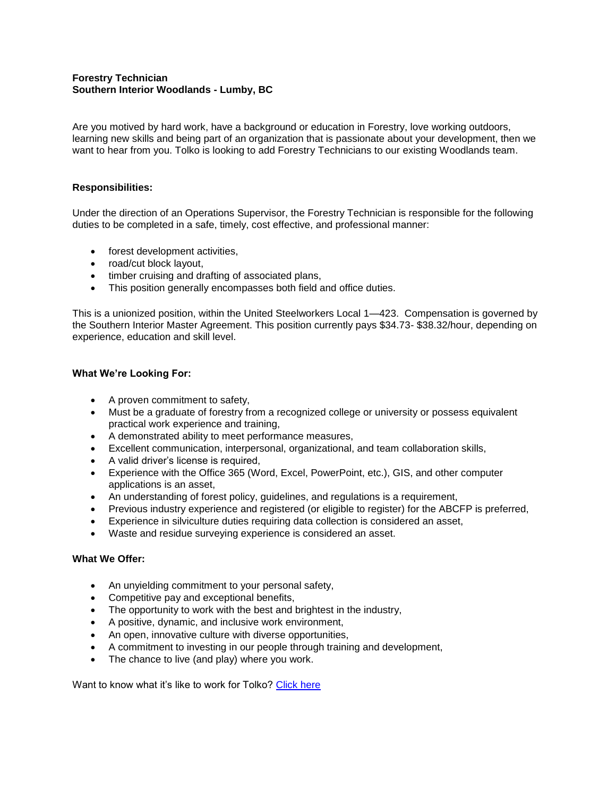# **Forestry Technician Southern Interior Woodlands - Lumby, BC**

Are you motived by hard work, have a background or education in Forestry, love working outdoors, learning new skills and being part of an organization that is passionate about your development, then we want to hear from you. Tolko is looking to add Forestry Technicians to our existing Woodlands team.

# **Responsibilities:**

Under the direction of an Operations Supervisor, the Forestry Technician is responsible for the following duties to be completed in a safe, timely, cost effective, and professional manner:

- forest development activities,
- road/cut block layout,
- timber cruising and drafting of associated plans,
- This position generally encompasses both field and office duties.

This is a unionized position, within the United Steelworkers Local 1—423. Compensation is governed by the Southern Interior Master Agreement. This position currently pays \$34.73- \$38.32/hour, depending on experience, education and skill level.

### **What We're Looking For:**

- A proven commitment to safety,
- Must be a graduate of forestry from a recognized college or university or possess equivalent practical work experience and training,
- A demonstrated ability to meet performance measures,
- Excellent communication, interpersonal, organizational, and team collaboration skills,
- A valid driver's license is required,
- Experience with the Office 365 (Word, Excel, PowerPoint, etc.), GIS, and other computer applications is an asset,
- An understanding of forest policy, guidelines, and regulations is a requirement,
- Previous industry experience and registered (or eligible to register) for the ABCFP is preferred,
- Experience in silviculture duties requiring data collection is considered an asset,
- Waste and residue surveying experience is considered an asset.

### **What We Offer:**

- An unyielding commitment to your personal safety,
- Competitive pay and exceptional benefits,
- The opportunity to work with the best and brightest in the industry,
- A positive, dynamic, and inclusive work environment,
- An open, innovative culture with diverse opportunities,
- A commitment to investing in our people through training and development,
- The chance to live (and play) where you work.

Want to know what it's like to work for Tolko? [Click here](https://youtu.be/nFmwq70ywzI)